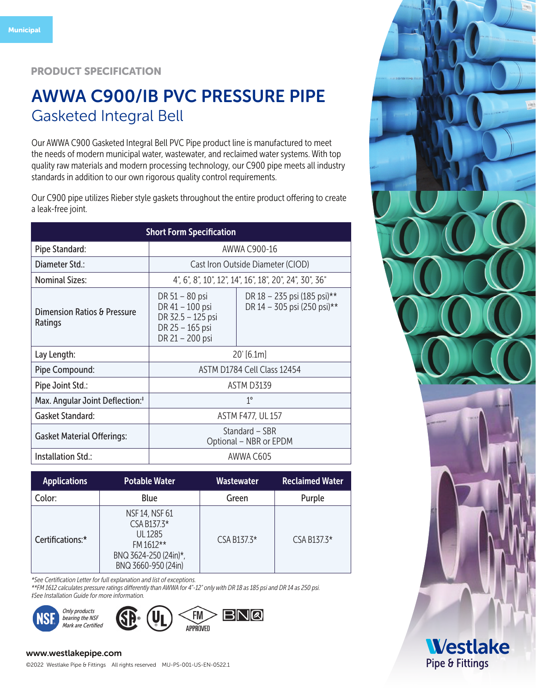#### PRODUCT SPECIFICATION

# AWWA C900/IB PVC PRESSURE PIPE Gasketed Integral Bell

Our AWWA C900 Gasketed Integral Bell PVC Pipe product line is manufactured to meet the needs of modern municipal water, wastewater, and reclaimed water systems. With top quality raw materials and modern processing technology, our C900 pipe meets all industry standards in addition to our own rigorous quality control requirements.

Our C900 pipe utilizes Rieber style gaskets throughout the entire product offering to create a leak-free joint.

| <b>Short Form Specification</b>               |                                                                                              |                                                            |  |  |  |  |  |
|-----------------------------------------------|----------------------------------------------------------------------------------------------|------------------------------------------------------------|--|--|--|--|--|
| Pipe Standard:                                | AWWA C900-16                                                                                 |                                                            |  |  |  |  |  |
| Diameter Std.:                                | Cast Iron Outside Diameter (CIOD)                                                            |                                                            |  |  |  |  |  |
| <b>Nominal Sizes:</b>                         | 4", 6", 8", 10", 12", 14", 16", 18", 20", 24", 30", 36"                                      |                                                            |  |  |  |  |  |
| Dimension Ratios & Pressure<br><b>Ratings</b> | DR 51 - 80 psi<br>DR 41 - 100 psi<br>DR 32.5 - 125 psi<br>DR 25 - 165 psi<br>DR 21 - 200 psi | DR 18 - 235 psi (185 psi)**<br>DR 14 - 305 psi (250 psi)** |  |  |  |  |  |
| Lay Length:                                   | $20'$ [6.1m]                                                                                 |                                                            |  |  |  |  |  |
| Pipe Compound:                                | ASTM D1784 Cell Class 12454                                                                  |                                                            |  |  |  |  |  |
| Pipe Joint Std.:                              | <b>ASTM D3139</b>                                                                            |                                                            |  |  |  |  |  |
| Max. Angular Joint Deflection: <sup>†</sup>   | $1^{\circ}$                                                                                  |                                                            |  |  |  |  |  |
| <b>Gasket Standard:</b>                       | <b>ASTM F477, UL 157</b>                                                                     |                                                            |  |  |  |  |  |
| <b>Gasket Material Offerings:</b>             | Standard – SBR<br>Optional - NBR or EPDM                                                     |                                                            |  |  |  |  |  |
| <b>Installation Std.:</b>                     |                                                                                              | AWWA C605                                                  |  |  |  |  |  |

| <b>Applications</b> | <b>Potable Water</b>                                                                                           | <b>Wastewater</b> | <b>Reclaimed Water</b> |
|---------------------|----------------------------------------------------------------------------------------------------------------|-------------------|------------------------|
| Color:              | Blue                                                                                                           | Green             | Purple                 |
| Certifications:*    | <b>NSF 14, NSF 61</b><br>$CSA B137.3*$<br>UI 1285<br>FM 1612**<br>BNQ 3624-250 (24in)*,<br>BNQ 3660-950 (24in) | CSA B137.3*       | CSA B137.3*            |

*\*See Certification Letter for full explanation and list of exceptions.*

*\*\*FM 1612 calculates pressure ratings differently than AWWA for 4"-12" only with DR 18 as 185 psi and DR 14 as 250 psi. ‡See Installation Guide for more information.* 

BNQ



#### www.westlakepipe.com



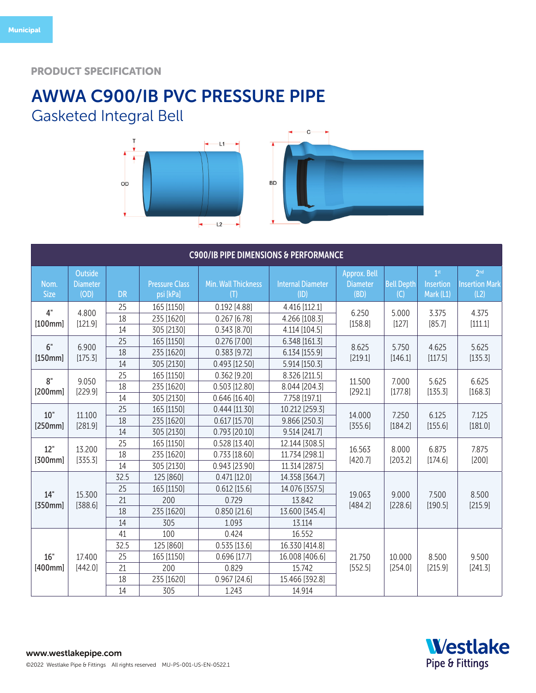### PRODUCT SPECIFICATION

## AWWA C900/IB PVC PRESSURE PIPE Gasketed Integral Bell





| <b>C900/IB PIPE DIMENSIONS &amp; PERFORMANCE</b> |                                    |                                    |                                                            |                                                                               |                                                                                  |                                         |                          |                                           |                                                  |
|--------------------------------------------------|------------------------------------|------------------------------------|------------------------------------------------------------|-------------------------------------------------------------------------------|----------------------------------------------------------------------------------|-----------------------------------------|--------------------------|-------------------------------------------|--------------------------------------------------|
| Nom.<br><b>Size</b>                              | Outside<br><b>Diameter</b><br>(OD) | <b>DR</b>                          | <b>Pressure Class</b><br>psi [kPa]                         | <b>Min. Wall Thickness</b><br>(T)                                             | <b>Internal Diameter</b><br>(ID)                                                 | Approx. Bell<br><b>Diameter</b><br>(BD) | <b>Bell Depth</b><br>(C) | 1 <sup>st</sup><br>Insertion<br>Mark (L1) | 2 <sup>nd</sup><br><b>Insertion Mark</b><br>(L2) |
| 4"<br>[100mm]                                    | 4.800<br>[121.9]                   | 25<br>18<br>14                     | 165 [1150]<br>235 [1620]<br>305 [2130]                     | 0.192 [4.88]<br>0.267[6.78]<br>0.343[8.70]                                    | 4.416 [112.1]<br>4.266 [108.3]<br>4.114 [104.5]                                  | 6.250<br>[158.8]                        | 5.000<br>[127]           | 3.375<br>[85.7]                           | 4.375<br>[111.1]                                 |
| 6"<br>[150mm]                                    | 6.900<br>[175.3]                   | 25<br>18<br>14                     | 165 [1150]<br>235 [1620]<br>305 [2130]                     | $0.276$ [7.00]<br>$0.383$ [9.72]<br>$0.493$ [12.50]                           | 6.348 [161.3]<br>6.134 [155.9]<br>5.914 [150.3]                                  | 8.625<br>[219.1]                        | 5.750<br>[146.1]         | 4.625<br>[117.5]                          | 5.625<br>[135.3]                                 |
| 8"<br>[200mm]                                    | 9.050<br>[229.9]                   | 25<br>18<br>14                     | 165 [1150]<br>235 [1620]<br>305 [2130]                     | $0.362$ [9.20]<br>$0.503$ [12.80]<br>$0.646$ [16.40]                          | 8.326 [211.5]<br>8.044 [204.3]<br>7.758 [197.1]                                  | 11.500<br>[292.1]                       | 7.000<br>[177.8]         | 5.625<br>[135.3]                          | 6.625<br>[168.3]                                 |
| 10"<br>[250mm]                                   | 11.100<br>[281.9]                  | 25<br>18<br>14                     | 165 [1150]<br>235 [1620]<br>305 [2130]                     | $0.444$ [11.30]<br>$0.617$ [15.70]<br>$0.793$ [20.10]                         | 10.212 [259.3]<br>9.866 [250.3]<br>9.514 [241.7]                                 | 14.000<br>[355.6]                       | 7.250<br>[184.2]         | 6.125<br>[155.6]                          | 7.125<br>[181.0]                                 |
| 12"<br>[300mm]                                   | 13.200<br>[335.3]                  | 25<br>18<br>14                     | 165 [1150]<br>235 [1620]<br>305 [2130]                     | $0.528$ [13.40]<br>$0.733$ [18.60]<br>0.943 [23.90]                           | 12.144 [308.5]<br>11.734 [298.1]<br>11.314 [287.5]                               | 16.563<br>[420.7]                       | 8.000<br>[203.2]         | 6.875<br>[174.6]                          | 7.875<br>[200]                                   |
| 14"<br>[350mm]                                   | 15.300<br>[388.6]                  | 32.5<br>25<br>21<br>18<br>14       | 125 [860]<br>165 [1150]<br>200<br>235 [1620]<br>305        | $0.471$ [12.0]<br>$0.612$ [15.6]<br>0.729<br>$0.850$ [21.6]<br>1.093          | 14.358 [364.7]<br>14.076 [357.5]<br>13.842<br>13.600 [345.4]<br>13.114           | 19.063<br>[484.2]                       | 9.000<br>[228.6]         | 7.500<br>[190.5]                          | 8.500<br>[215.9]                                 |
| 16"<br>[400mm]                                   | 17.400<br>[442.0]                  | 41<br>32.5<br>25<br>21<br>18<br>14 | 100<br>125 [860]<br>165 [1150]<br>200<br>235 [1620]<br>305 | 0.424<br>$0.535$ [13.6]<br>$0.696$ [17.7]<br>0.829<br>$0.967$ [24.6]<br>1.243 | 16.552<br>16.330 [414.8]<br>16.008 [406.6]<br>15.742<br>15.466 [392.8]<br>14.914 | 21.750<br>[552.5]                       | 10.000<br>[254.0]        | 8.500<br>[215.9]                          | 9.500<br>[241.3]                                 |